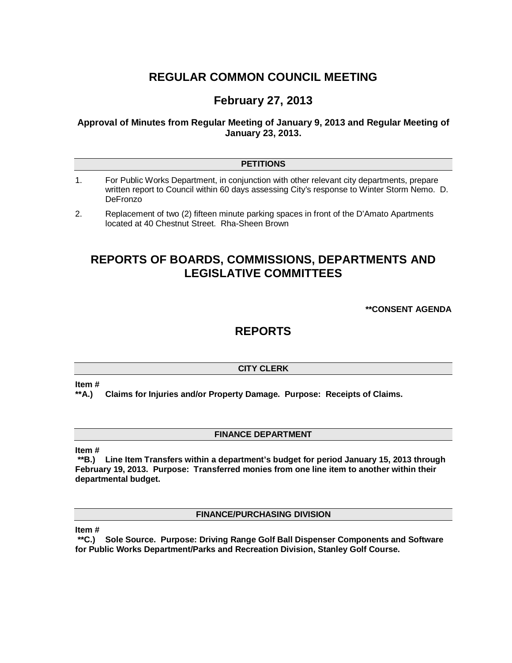# **REGULAR COMMON COUNCIL MEETING**

## **February 27, 2013**

**Approval of Minutes from Regular Meeting of January 9, 2013 and Regular Meeting of January 23, 2013.**

## **PETITIONS**

- 1. For Public Works Department, in conjunction with other relevant city departments, prepare written report to Council within 60 days assessing City's response to Winter Storm Nemo. D. **DeFronzo**
- 2. Replacement of two (2) fifteen minute parking spaces in front of the D'Amato Apartments located at 40 Chestnut Street. Rha-Sheen Brown

## **REPORTS OF BOARDS, COMMISSIONS, DEPARTMENTS AND LEGISLATIVE COMMITTEES**

**\*\*CONSENT AGENDA**

## **REPORTS**

## **CITY CLERK**

#### **Item #**

**\*\*A.) Claims for Injuries and/or Property Damage. Purpose: Receipts of Claims.**

## **FINANCE DEPARTMENT**

#### **Item #**

**\*\*B.) Line Item Transfers within a department's budget for period January 15, 2013 through February 19, 2013. Purpose: Transferred monies from one line item to another within their departmental budget.**

**FINANCE/PURCHASING DIVISION**

**Item #**

**\*\*C.) Sole Source. Purpose: Driving Range Golf Ball Dispenser Components and Software for Public Works Department/Parks and Recreation Division, Stanley Golf Course.**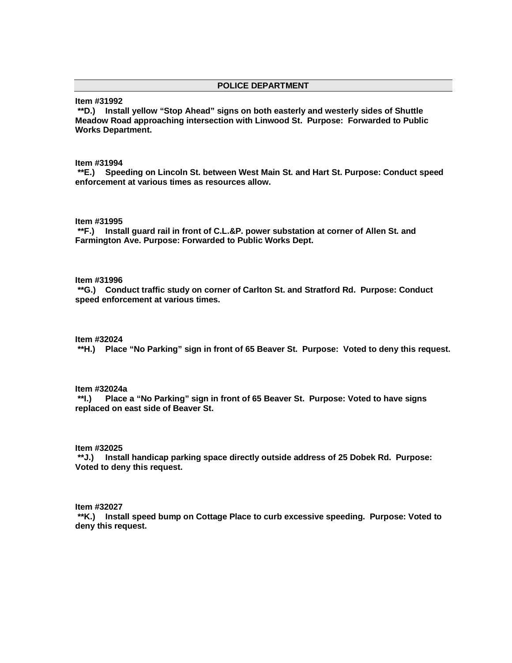### **POLICE DEPARTMENT**

**Item #31992**

**\*\*D.) Install yellow "Stop Ahead" signs on both easterly and westerly sides of Shuttle Meadow Road approaching intersection with Linwood St. Purpose: Forwarded to Public Works Department.**

**Item #31994**

**\*\*E.) Speeding on Lincoln St. between West Main St. and Hart St. Purpose: Conduct speed enforcement at various times as resources allow.**

**Item #31995**

**\*\*F.) Install guard rail in front of C.L.&P. power substation at corner of Allen St. and Farmington Ave. Purpose: Forwarded to Public Works Dept.**

**Item #31996**

**\*\*G.) Conduct traffic study on corner of Carlton St. and Stratford Rd. Purpose: Conduct speed enforcement at various times.**

#### **Item #32024**

**\*\*H.) Place "No Parking" sign in front of 65 Beaver St. Purpose: Voted to deny this request.**

**Item #32024a**

**\*\*I.) Place a "No Parking" sign in front of 65 Beaver St. Purpose: Voted to have signs replaced on east side of Beaver St.** 

### **Item #32025**

**\*\*J.) Install handicap parking space directly outside address of 25 Dobek Rd. Purpose: Voted to deny this request.**

#### **Item #32027**

**\*\*K.) Install speed bump on Cottage Place to curb excessive speeding. Purpose: Voted to deny this request.**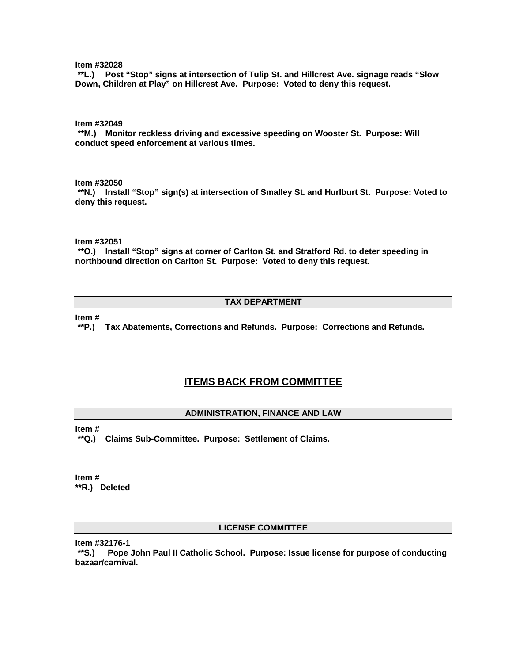**Item #32028**

**\*\*L.) Post "Stop" signs at intersection of Tulip St. and Hillcrest Ave. signage reads "Slow Down, Children at Play" on Hillcrest Ave. Purpose: Voted to deny this request.**

**Item #32049**

**\*\*M.) Monitor reckless driving and excessive speeding on Wooster St. Purpose: Will conduct speed enforcement at various times.**

**Item #32050**

**\*\*N.) Install "Stop" sign(s) at intersection of Smalley St. and Hurlburt St. Purpose: Voted to deny this request.** 

**Item #32051**

**\*\*O.) Install "Stop" signs at corner of Carlton St. and Stratford Rd. to deter speeding in northbound direction on Carlton St. Purpose: Voted to deny this request.**

## **TAX DEPARTMENT**

**Item #**

**\*\*P.) Tax Abatements, Corrections and Refunds. Purpose: Corrections and Refunds.**

## **ITEMS BACK FROM COMMITTEE**

#### **ADMINISTRATION, FINANCE AND LAW**

**Item #**

**\*\*Q.) Claims Sub-Committee. Purpose: Settlement of Claims.**

**Item # \*\*R.) Deleted**

#### **LICENSE COMMITTEE**

**Item #32176-1**

**\*\*S.) Pope John Paul II Catholic School. Purpose: Issue license for purpose of conducting bazaar/carnival.**